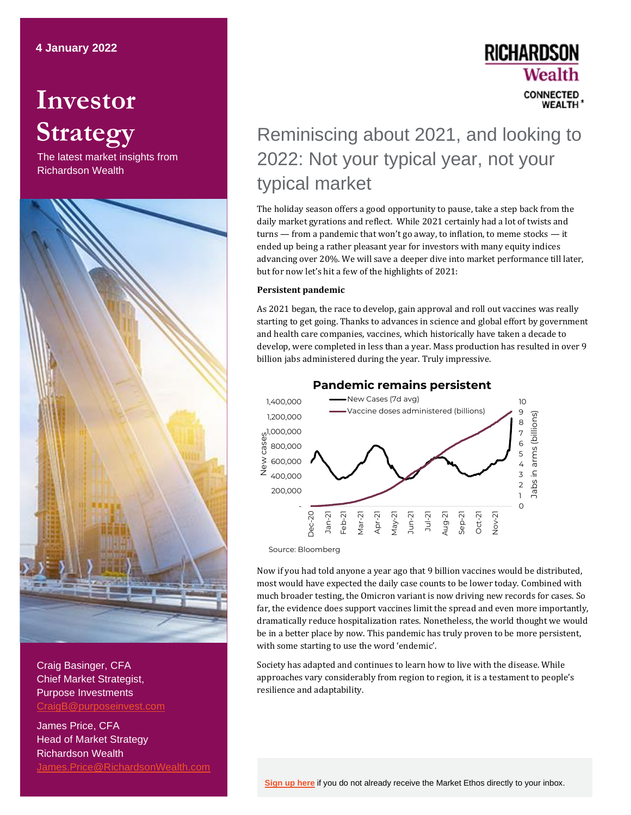# **Investor Strategy**

The latest market insights from Richardson Wealth



Craig Basinger, CFA Chief Market Strategist, Purpose Investments [CraigB@purposeinvest.com](mailto:CraigB@purposeinvest.com)

James Price, CFA Head of Market Strategy Richardson Wealth [James.Price@RichardsonWealth.com](mailto:James.Price@RichardsonWealth.com)

### **RICHARDSON** Wealth **CONNECTED WFALTH**

## Reminiscing about 2021, and looking to 2022: Not your typical year, not your typical market

The holiday season offers a good opportunity to pause, take a step back from the daily market gyrations and reflect. While 2021 certainly had a lot of twists and turns — from a pandemic that won't go away, to inflation, to meme stocks — it ended up being a rather pleasant year for investors with many equity indices advancing over 20%. We will save a deeper dive into market performance till later, but for now let's hit a few of the highlights of 2021:

#### **Persistent pandemic**

As 2021 began, the race to develop, gain approval and roll out vaccines was really starting to get going. Thanks to advances in science and global effort by government and health care companies, vaccines, which historically have taken a decade to develop, were completed in less than a year. Mass production has resulted in over 9 billion jabs administered during the year. Truly impressive.



**Pandemic remains persistent**

Source: Bloomberg

Now if you had told anyone a year ago that 9 billion vaccines would be distributed, most would have expected the daily case counts to be lower today. Combined with much broader testing, the Omicron variant is now driving new records for cases. So far, the evidence does support vaccines limit the spread and even more importantly, dramatically reduce hospitalization rates. Nonetheless, the world thought we would be in a better place by now. This pandemic has truly proven to be more persistent, with some starting to use the word 'endemic'.

Society has adapted and continues to learn how to live with the disease. While approaches vary considerably from region to region, it is a testament to people's resilience and adaptability.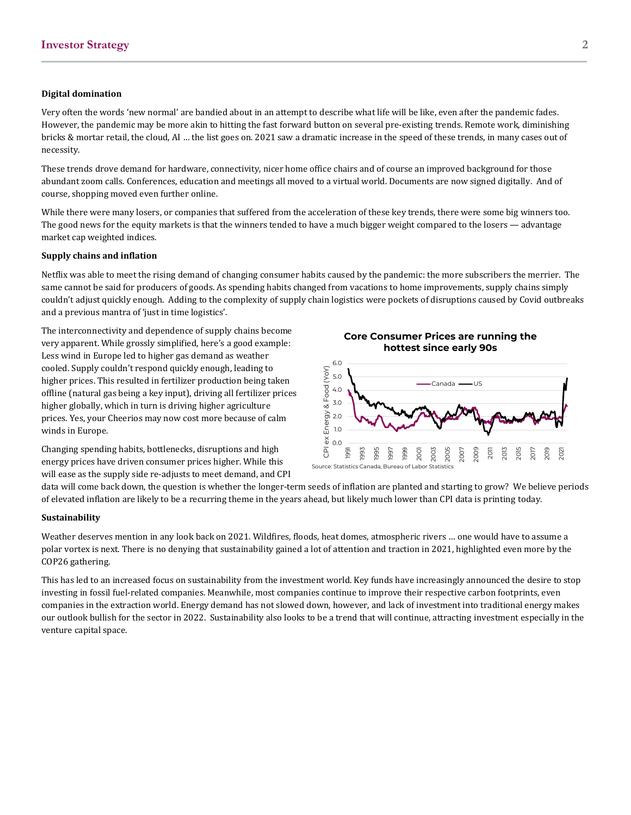#### **Digital domination**

Very often the words 'new normal' are bandied about in an attempt to describe what life will be like, even after the pandemic fades. However, the pandemic may be more akin to hitting the fast forward button on several pre-existing trends. Remote work, diminishing bricks & mortar retail, the cloud, AI … the list goes on. 2021 saw a dramatic increase in the speed of these trends, in many cases out of necessity.

These trends drove demand for hardware, connectivity, nicer home office chairs and of course an improved background for those abundant zoom calls. Conferences, education and meetings all moved to a virtual world. Documents are now signed digitally. And of course, shopping moved even further online.

While there were many losers, or companies that suffered from the acceleration of these key trends, there were some big winners too. The good news for the equity markets is that the winners tended to have a much bigger weight compared to the losers — advantage market cap weighted indices.

#### **Supply chains and inflation**

Netflix was able to meet the rising demand of changing consumer habits caused by the pandemic: the more subscribers the merrier. The same cannot be said for producers of goods. As spending habits changed from vacations to home improvements, supply chains simply couldn't adjust quickly enough. Adding to the complexity of supply chain logistics were pockets of disruptions caused by Covid outbreaks and a previous mantra of 'just in time logistics'.

The interconnectivity and dependence of supply chains become very apparent. While grossly simplified, here's a good example: Less wind in Europe led to higher gas demand as weather cooled. Supply couldn't respond quickly enough, leading to higher prices. This resulted in fertilizer production being taken offline (natural gas being a key input), driving all fertilizer prices higher globally, which in turn is driving higher agriculture prices. Yes, your Cheerios may now cost more because of calm winds in Europe.

Changing spending habits, bottlenecks, disruptions and high energy prices have driven consumer prices higher. While this will ease as the supply side re-adjusts to meet demand, and CPI

**Core Consumer Prices are running the hottest since early 90s** 



data will come back down, the question is whether the longer-term seeds of inflation are planted and starting to grow? We believe periods of elevated inflation are likely to be a recurring theme in the years ahead, but likely much lower than CPI data is printing today.

#### **Sustainability**

Weather deserves mention in any look back on 2021. Wildfires, floods, heat domes, atmospheric rivers … one would have to assume a polar vortex is next. There is no denying that sustainability gained a lot of attention and traction in 2021, highlighted even more by the COP26 gathering.

This has led to an increased focus on sustainability from the investment world. Key funds have increasingly announced the desire to stop investing in fossil fuel-related companies. Meanwhile, most companies continue to improve their respective carbon footprints, even companies in the extraction world. Energy demand has not slowed down, however, and lack of investment into traditional energy makes our outlook bullish for the sector in 2022. Sustainability also looks to be a trend that will continue, attracting investment especially in the venture capital space.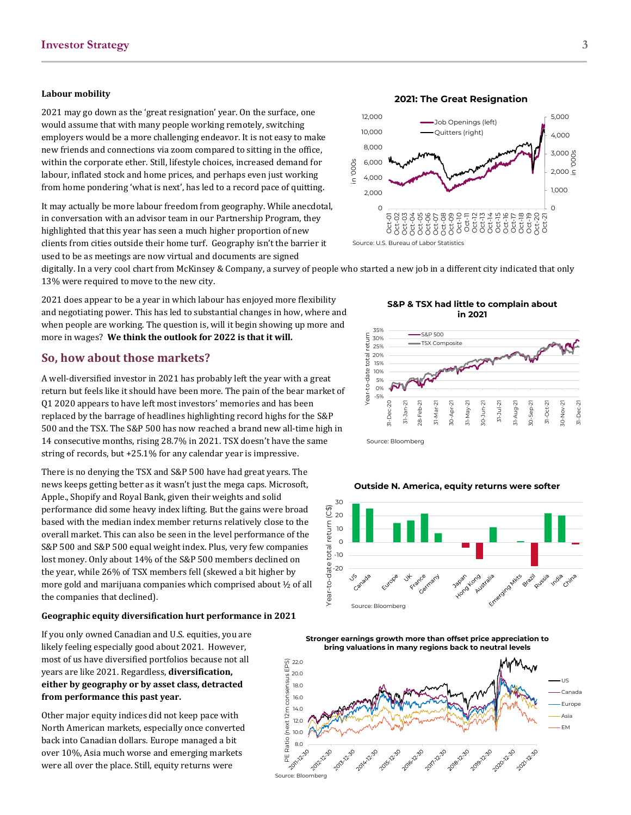#### **Labour mobility**

2021 may go down as the 'great resignation' year. On the surface, one would assume that with many people working remotely, switching employers would be a more challenging endeavor. It is not easy to make new friends and connections via zoom compared to sitting in the office, within the corporate ether. Still, lifestyle choices, increased demand for labour, inflated stock and home prices, and perhaps even just working from home pondering 'what is next', has led to a record pace of quitting.

It may actually be more labour freedom from geography. While anecdotal, in conversation with an advisor team in our Partnership Program, they highlighted that this year has seen a much higher proportion of new clients from cities outside their home turf. Geography isn't the barrier it used to be as meetings are now virtual and documents are signed



**2021: The Great Resignation**





digitally. In a very cool chart from McKinsey & Company, a survey of people who started a new job in a different city indicated that only 13% were required to move to the new city.

2021 does appear to be a year in which labour has enjoyed more flexibility and negotiating power. This has led to substantial changes in how, where and when people are working. The question is, will it begin showing up more and more in wages? **We think the outlook for 2022 is that it will.**

#### **So, how about those markets?**

A well-diversified investor in 2021 has probably left the year with a great return but feels like it should have been more. The pain of the bear market of Q1 2020 appears to have left most investors' memories and has been replaced by the barrage of headlines highlighting record highs for the S&P 500 and the TSX. The S&P 500 has now reached a brand new all-time high in 14 consecutive months, rising 28.7% in 2021. TSX doesn't have the same string of records, but +25.1% for any calendar year is impressive.

There is no denying the TSX and S&P 500 have had great years. The news keeps getting better as it wasn't just the mega caps. Microsoft, Apple., Shopify and Royal Bank, given their weights and solid performance did some heavy index lifting. But the gains were broad based with the median index member returns relatively close to the overall market. This can also be seen in the level performance of the S&P 500 and S&P 500 equal weight index. Plus, very few companies lost money. Only about 14% of the S&P 500 members declined on the year, while 26% of TSX members fell (skewed a bit higher by more gold and marijuana companies which comprised about ½ of all the companies that declined).

#### **Geographic equity diversification hurt performance in 2021**

If you only owned Canadian and U.S. equities, you are likely feeling especially good about 2021. However, most of us have diversified portfolios because not all years are like 2021. Regardless, **diversification, either by geography or by asset class, detracted from performance this past year.** 

Other major equity indices did not keep pace with North American markets, especially once converted back into Canadian dollars. Europe managed a bit over 10%, Asia much worse and emerging markets were all over the place. Still, equity returns were

**S&P & TSX had little to complain about in 2021**



**Outside N. America, equity returns were softer**





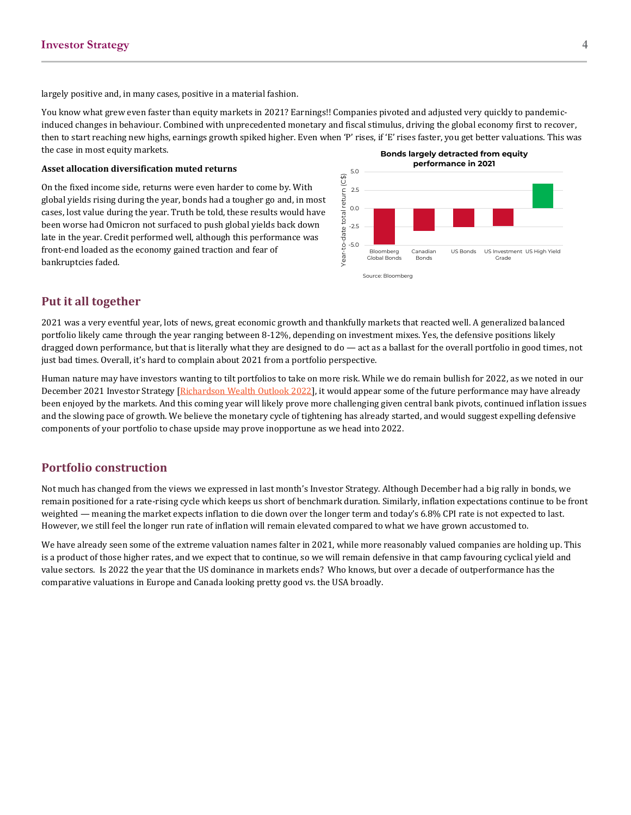largely positive and, in many cases, positive in a material fashion.

You know what grew even faster than equity markets in 2021? Earnings!! Companies pivoted and adjusted very quickly to pandemicinduced changes in behaviour. Combined with unprecedented monetary and fiscal stimulus, driving the global economy first to recover, then to start reaching new highs, earnings growth spiked higher. Even when 'P' rises, if 'E' rises faster, you get better valuations. This was the case in most equity markets. **Bonds largely detracted from equity** 

#### **Asset allocation diversification muted returns**

On the fixed income side, returns were even harder to come by. With global yields rising during the year, bonds had a tougher go and, in most cases, lost value during the year. Truth be told, these results would have been worse had Omicron not surfaced to push global yields back down late in the year. Credit performed well, although this performance was front-end loaded as the economy gained traction and fear of bankruptcies faded.



#### **Put it all together**

2021 was a very eventful year, lots of news, great economic growth and thankfully markets that reacted well. A generalized balanced portfolio likely came through the year ranging between 8-12%, depending on investment mixes. Yes, the defensive positions likely dragged down performance, but that is literally what they are designed to do — act as a ballast for the overall portfolio in good times, not just bad times. Overall, it's hard to complain about 2021 from a portfolio perspective.

Human nature may have investors wanting to tilt portfolios to take on more risk. While we do remain bullish for 2022, as we noted in our December 2021 Investor Strategy [\[Richardson Wealth Outlook 2022\]](https://www.richardsonwealth.com/docs/default-source/investor-strategy/investor-strategy---dec-2021.pdf), it would appear some of the future performance may have already been enjoyed by the markets. And this coming year will likely prove more challenging given central bank pivots, continued inflation issues and the slowing pace of growth. We believe the monetary cycle of tightening has already started, and would suggest expelling defensive components of your portfolio to chase upside may prove inopportune as we head into 2022.

#### **Portfolio construction**

Not much has changed from the views we expressed in last month's Investor Strategy. Although December had a big rally in bonds, we remain positioned for a rate-rising cycle which keeps us short of benchmark duration. Similarly, inflation expectations continue to be front weighted — meaning the market expects inflation to die down over the longer term and today's 6.8% CPI rate is not expected to last. However, we still feel the longer run rate of inflation will remain elevated compared to what we have grown accustomed to.

We have already seen some of the extreme valuation names falter in 2021, while more reasonably valued companies are holding up. This is a product of those higher rates, and we expect that to continue, so we will remain defensive in that camp favouring cyclical yield and value sectors. Is 2022 the year that the US dominance in markets ends? Who knows, but over a decade of outperformance has the comparative valuations in Europe and Canada looking pretty good vs. the USA broadly.